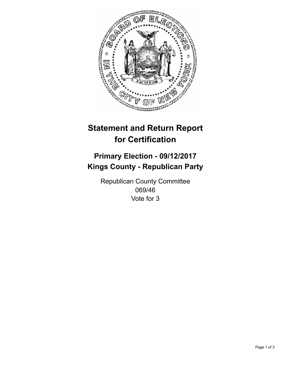

## **Statement and Return Report for Certification**

## **Primary Election - 09/12/2017 Kings County - Republican Party**

Republican County Committee 069/46 Vote for 3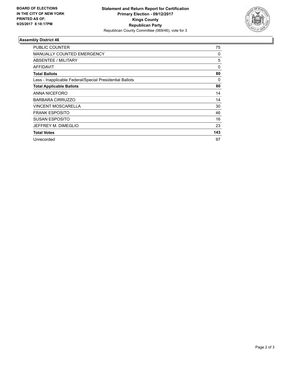

## **Assembly District 46**

| <b>PUBLIC COUNTER</b>                                    | 75  |
|----------------------------------------------------------|-----|
| <b>MANUALLY COUNTED EMERGENCY</b>                        | 0   |
| ABSENTEE / MILITARY                                      | 5   |
| AFFIDAVIT                                                | 0   |
| <b>Total Ballots</b>                                     | 80  |
| Less - Inapplicable Federal/Special Presidential Ballots | 0   |
| <b>Total Applicable Ballots</b>                          | 80  |
| ANNA NICEFORO                                            | 14  |
| <b>BARBARA CIRRUZZO</b>                                  | 14  |
| <b>VINCENT MOSCARELLA</b>                                | 30  |
| <b>FRANK ESPOSITO</b>                                    | 46  |
| <b>SUSAN ESPOSITO</b>                                    | 16  |
| JEFFREY M. DIMEGLIO                                      | 23  |
| <b>Total Votes</b>                                       | 143 |
| Unrecorded                                               | 97  |